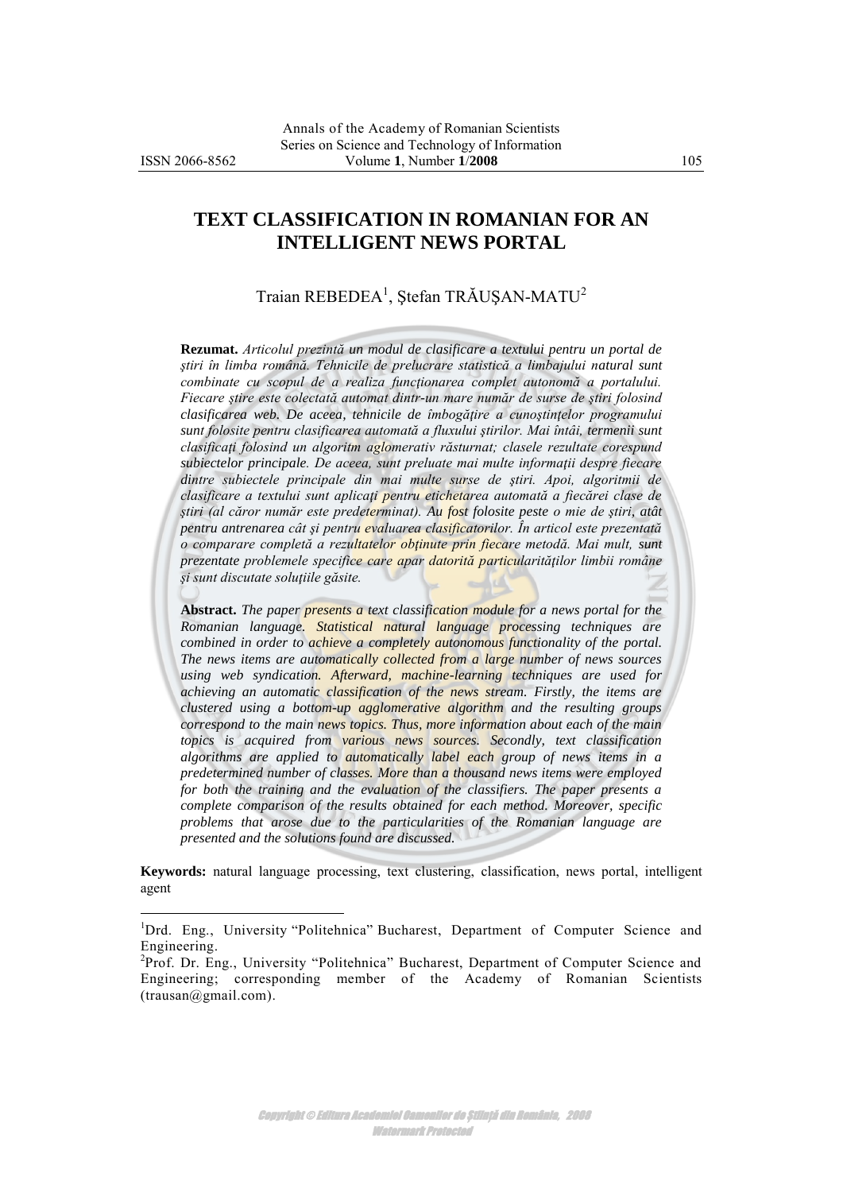$\overline{a}$ 

# **TEXT CLASSIFICATION IN ROMANIAN FOR AN INTELLIGENT NEWS PORTAL**

Traian REBEDEA<sup>1</sup>, Ştefan TRĂUŞAN-MATU<sup>2</sup>

**Rezumat.** *Articolul prezintă un modul de clasificare a textului pentru un portal de ştiri în limba română. Tehnicile de prelucrare statistică a limbajului natural sunt combinate cu scopul de a realiza funcţionarea complet autonomă a portalului. Fiecare ştire este colectată automat dintr-un mare număr de surse de ştiri folosind clasificarea web. De aceea, tehnicile de îmbogăţire a cunoştinţelor programului sunt folosite pentru clasificarea automată a fluxului ştirilor. Mai întâi, termenii sunt clasificaţi folosind un algoritm aglomerativ răsturnat; clasele rezultate corespund subiectelor principale. De aceea, sunt preluate mai multe informaţii despre fiecare dintre subiectele principale din mai multe surse de ştiri. Apoi, algoritmii de clasificare a textului sunt aplicaţi pentru etichetarea automată a fiecărei clase de ştiri (al căror număr este predeterminat). Au fost folosite peste o mie de ştiri, atât pentru antrenarea cât şi pentru evaluarea clasificatorilor. În articol este prezentată o comparare completă a rezultatelor obţinute prin fiecare metodă. Mai mult, sunt prezentate problemele specifice care apar datorită particularităţilor limbii române şi sunt discutate soluţiile găsite.*

**Abstract.** *The paper presents a text classification module for a news portal for the Romanian language. Statistical natural language processing techniques are combined in order to achieve a completely autonomous functionality of the portal. The news items are automatically collected from a large number of news sources using web syndication. Afterward, machine-learning techniques are used for achieving an automatic classification of the news stream. Firstly, the items are clustered using a bottom-up agglomerative algorithm and the resulting groups correspond to the main news topics. Thus, more information about each of the main topics is acquired from various news sources. Secondly, text classification algorithms are applied to automatically label each group of news items in a predetermined number of classes. More than a thousand news items were employed*  for both the training and the evaluation of the classifiers. The paper presents a *complete comparison of the results obtained for each method. Moreover, specific problems that arose due to the particularities of the Romanian language are presented and the solutions found are discussed.* 

**Keywords:** natural language processing, text clustering, classification, news portal, intelligent agent

<sup>1</sup>Drd. Eng., University "Politehnica" Bucharest, Department of Computer Science and Engineering.

<sup>&</sup>lt;sup>2</sup>Prof. Dr. Eng., University "Politehnica" Bucharest, Department of Computer Science and Engineering; corresponding member of the Academy of Romanian Scientists (trausan@gmail.com).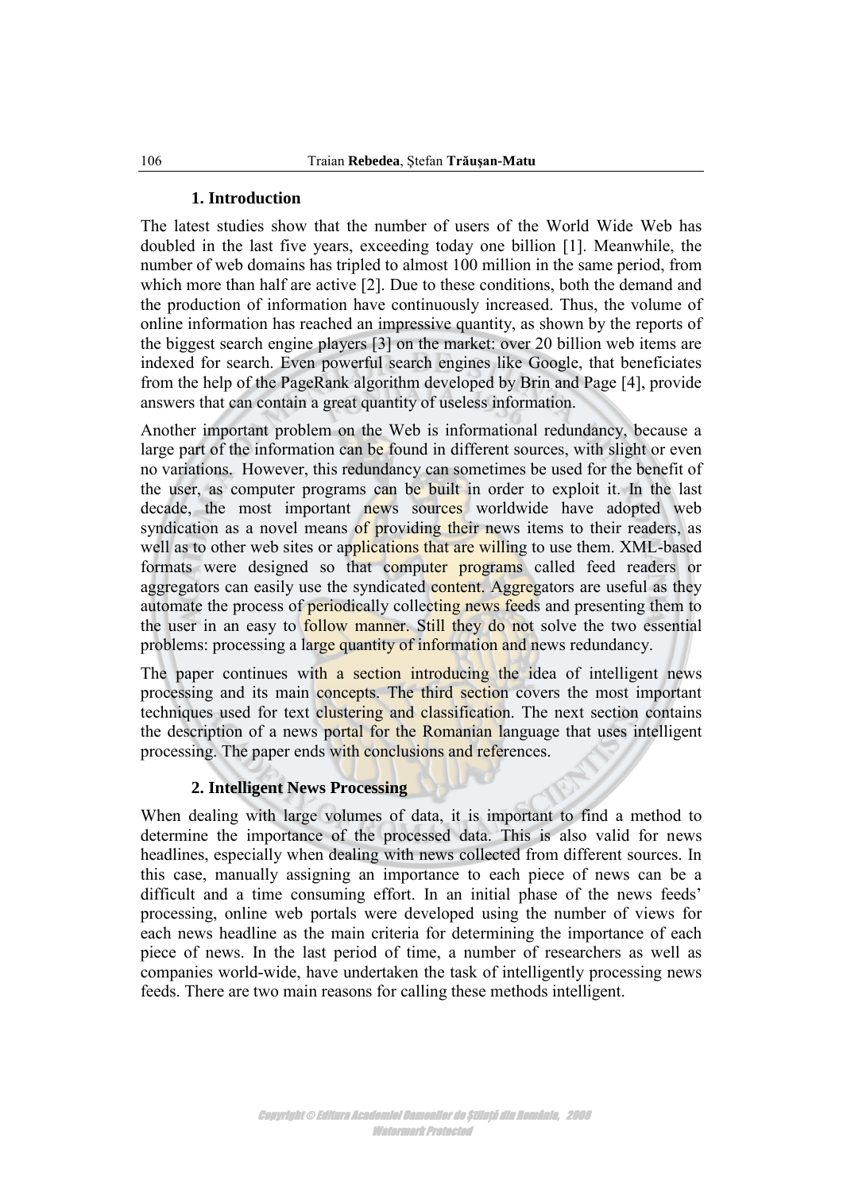#### **1. Introduction**

The latest studies show that the number of users of the World Wide Web has doubled in the last five years, exceeding today one billion [1]. Meanwhile, the number of web domains has tripled to almost 100 million in the same period, from which more than half are active [2]. Due to these conditions, both the demand and the production of information have continuously increased. Thus, the volume of online information has reached an impressive quantity, as shown by the reports of the biggest search engine players [3] on the market: over 20 billion web items are indexed for search. Even powerful search engines like Google, that beneficiates from the help of the PageRank algorithm developed by Brin and Page [4], provide answers that can contain a great quantity of useless information.

Another important problem on the Web is informational redundancy, because a large part of the information can be found in different sources, with slight or even no variations. However, this redundancy can sometimes be used for the benefit of the user, as computer programs can be built in order to exploit it. In the last decade, the most important news sources worldwide have adopted web syndication as a novel means of providing their news items to their readers, as well as to other web sites or applications that are willing to use them. XML-based formats were designed so that computer programs called feed readers or aggregators can easily use the syndicated content. Aggregators are useful as they automate the process of periodically collecting news feeds and presenting them to the user in an easy to **follow manner.** Still they do not solve the two essential problems: processing a large quantity of information and news redundancy.

The paper continues with a section introducing the idea of intelligent news processing and its main concepts. The third section covers the most important techniques used for text clustering and classification. The next section contains the description of a news portal for the Romanian language that uses intelligent processing. The paper ends with conclusions and references.

### **2. Intelligent News Processing**

When dealing with large volumes of data, it is important to find a method to determine the importance of the processed data. This is also valid for news headlines, especially when dealing with news collected from different sources. In this case, manually assigning an importance to each piece of news can be a difficult and a time consuming effort. In an initial phase of the news feeds' processing, online web portals were developed using the number of views for each news headline as the main criteria for determining the importance of each piece of news. In the last period of time, a number of researchers as well as companies world-wide, have undertaken the task of intelligently processing news feeds. There are two main reasons for calling these methods intelligent.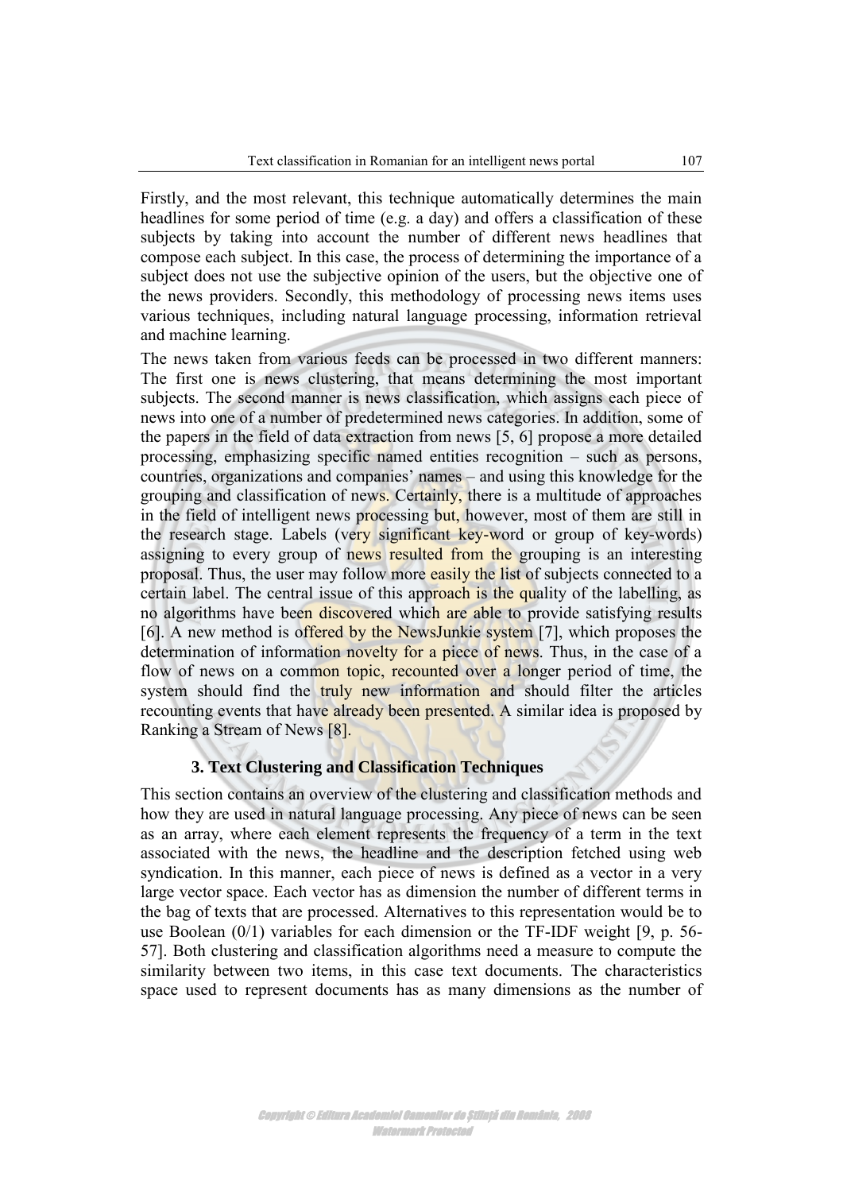Firstly, and the most relevant, this technique automatically determines the main headlines for some period of time (e.g. a day) and offers a classification of these subjects by taking into account the number of different news headlines that compose each subject. In this case, the process of determining the importance of a subject does not use the subjective opinion of the users, but the objective one of the news providers. Secondly, this methodology of processing news items uses various techniques, including natural language processing, information retrieval and machine learning.

The news taken from various feeds can be processed in two different manners: The first one is news clustering, that means determining the most important subjects. The second manner is news classification, which assigns each piece of news into one of a number of predetermined news categories. In addition, some of the papers in the field of data extraction from news [5, 6] propose a more detailed processing, emphasizing specific named entities recognition – such as persons, countries, organizations and companies' names – and using this knowledge for the grouping and classification of news. Certainly, there is a multitude of approaches in the field of intelligent news processing but, however, most of them are still in the research stage. Labels (very significant key-word or group of key-words) assigning to every group of news resulted from the grouping is an interesting proposal. Thus, the user may follow more easily the list of subjects connected to a certain label. The central issue of this approach is the quality of the labelling, as no algorithms have been discovered which are able to provide satisfying results [6]. A new method is offered by the NewsJunkie system [7], which proposes the determination of information novelty for a piece of news. Thus, in the case of a flow of news on a common topic, recounted over a longer period of time, the system should find the truly new information and should filter the articles recounting events that have already been presented. A similar idea is proposed by Ranking a Stream of News [8].

### **3. Text Clustering and Classification Techniques**

This section contains an overview of the clustering and classification methods and how they are used in natural language processing. Any piece of news can be seen as an array, where each element represents the frequency of a term in the text associated with the news, the headline and the description fetched using web syndication. In this manner, each piece of news is defined as a vector in a very large vector space. Each vector has as dimension the number of different terms in the bag of texts that are processed. Alternatives to this representation would be to use Boolean (0/1) variables for each dimension or the TF-IDF weight [9, p. 56- 57]. Both clustering and classification algorithms need a measure to compute the similarity between two items, in this case text documents. The characteristics space used to represent documents has as many dimensions as the number of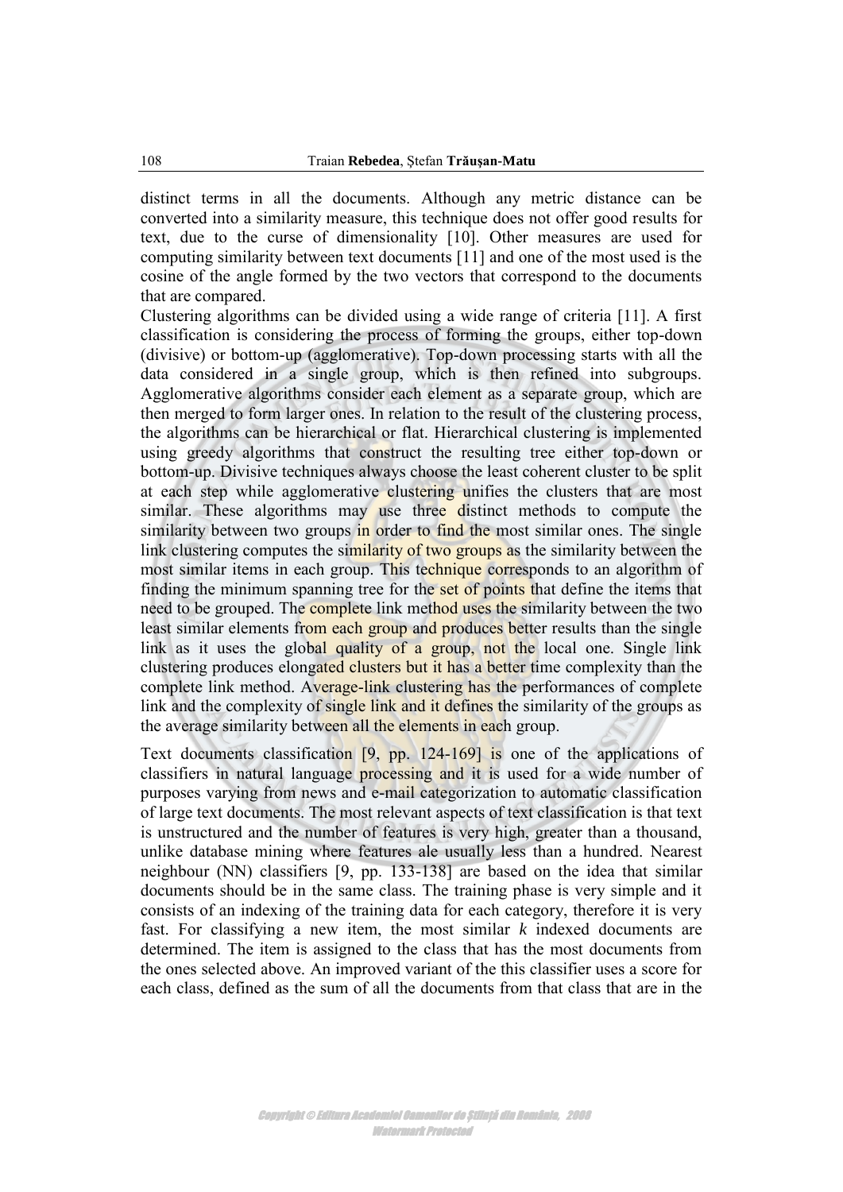distinct terms in all the documents. Although any metric distance can be converted into a similarity measure, this technique does not offer good results for text, due to the curse of dimensionality [10]. Other measures are used for computing similarity between text documents [11] and one of the most used is the cosine of the angle formed by the two vectors that correspond to the documents that are compared.

Clustering algorithms can be divided using a wide range of criteria [11]. A first classification is considering the process of forming the groups, either top-down (divisive) or bottom-up (agglomerative). Top-down processing starts with all the data considered in a single group, which is then refined into subgroups. Agglomerative algorithms consider each element as a separate group, which are then merged to form larger ones. In relation to the result of the clustering process, the algorithms can be hierarchical or flat. Hierarchical clustering is implemented using greedy algorithms that construct the resulting tree either top-down or bottom-up. Divisive techniques always choose the least coherent cluster to be split at each step while agglomerative clustering unifies the clusters that are most similar. These algorithms may use three distinct methods to compute the similarity between two groups in order to find the most similar ones. The single link clustering computes the similarity of two groups as the similarity between the most similar items in each group. This technique corresponds to an algorithm of finding the minimum spanning tree for the set of points that define the items that need to be grouped. The complete link method uses the similarity between the two least similar elements from each group and produces better results than the single link as it uses the global quality of a group, not the local one. Single link clustering produces elongated clusters but it has a better time complexity than the complete link method. Average-link clustering has the performances of complete link and the complexity of single link and it defines the similarity of the groups as the average similarity between all the elements in each group.

Text documents classification [9, pp. 124-169] is one of the applications of classifiers in natural language processing and it is used for a wide number of purposes varying from news and e-mail categorization to automatic classification of large text documents. The most relevant aspects of text classification is that text is unstructured and the number of features is very high, greater than a thousand, unlike database mining where features ale usually less than a hundred. Nearest neighbour (NN) classifiers [9, pp. 133-138] are based on the idea that similar documents should be in the same class. The training phase is very simple and it consists of an indexing of the training data for each category, therefore it is very fast. For classifying a new item, the most similar *k* indexed documents are determined. The item is assigned to the class that has the most documents from the ones selected above. An improved variant of the this classifier uses a score for each class, defined as the sum of all the documents from that class that are in the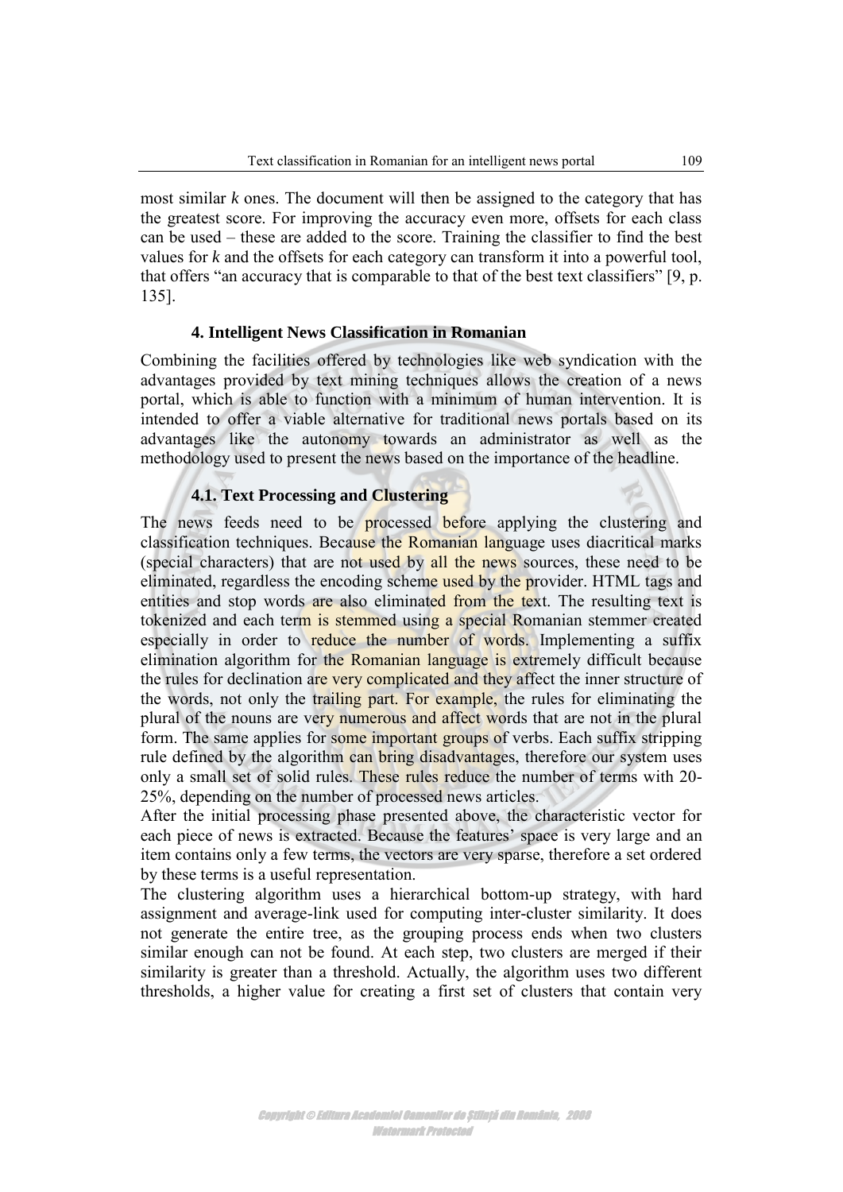most similar *k* ones. The document will then be assigned to the category that has the greatest score. For improving the accuracy even more, offsets for each class can be used – these are added to the score. Training the classifier to find the best values for *k* and the offsets for each category can transform it into a powerful tool, that offers "an accuracy that is comparable to that of the best text classifiers" [9, p. 135].

#### **4. Intelligent News Classification in Romanian**

Combining the facilities offered by technologies like web syndication with the advantages provided by text mining techniques allows the creation of a news portal, which is able to function with a minimum of human intervention. It is intended to offer a viable alternative for traditional news portals based on its advantages like the autonomy towards an administrator as well as the methodology used to present the news based on the importance of the headline.

## **4.1. Text Processing and Clustering**

The news feeds need to be **processed** before applying the clustering and classification techniques. Because the Romanian language uses diacritical marks (special characters) that are not used by all the news sources, these need to be eliminated, regardless the encoding scheme used by the provider. HTML tags and entities and stop words are also eliminated from the text. The resulting text is tokenized and each term is stemmed using a special Romanian stemmer created especially in order to reduce the number of words. Implementing a suffix elimination algorithm for the Romanian language is extremely difficult because the rules for declination are very complicated and they affect the inner structure of the words, not only the trailing part. For example, the rules for eliminating the plural of the nouns are very numerous and affect words that are not in the plural form. The same applies for some important groups of verbs. Each suffix stripping rule defined by the algorithm can bring disadvantages, therefore our system uses only a small set of solid rules. These rules reduce the number of terms with 20- 25%, depending on the number of processed news articles.

After the initial processing phase presented above, the characteristic vector for each piece of news is extracted. Because the features' space is very large and an item contains only a few terms, the vectors are very sparse, therefore a set ordered by these terms is a useful representation.

The clustering algorithm uses a hierarchical bottom-up strategy, with hard assignment and average-link used for computing inter-cluster similarity. It does not generate the entire tree, as the grouping process ends when two clusters similar enough can not be found. At each step, two clusters are merged if their similarity is greater than a threshold. Actually, the algorithm uses two different thresholds, a higher value for creating a first set of clusters that contain very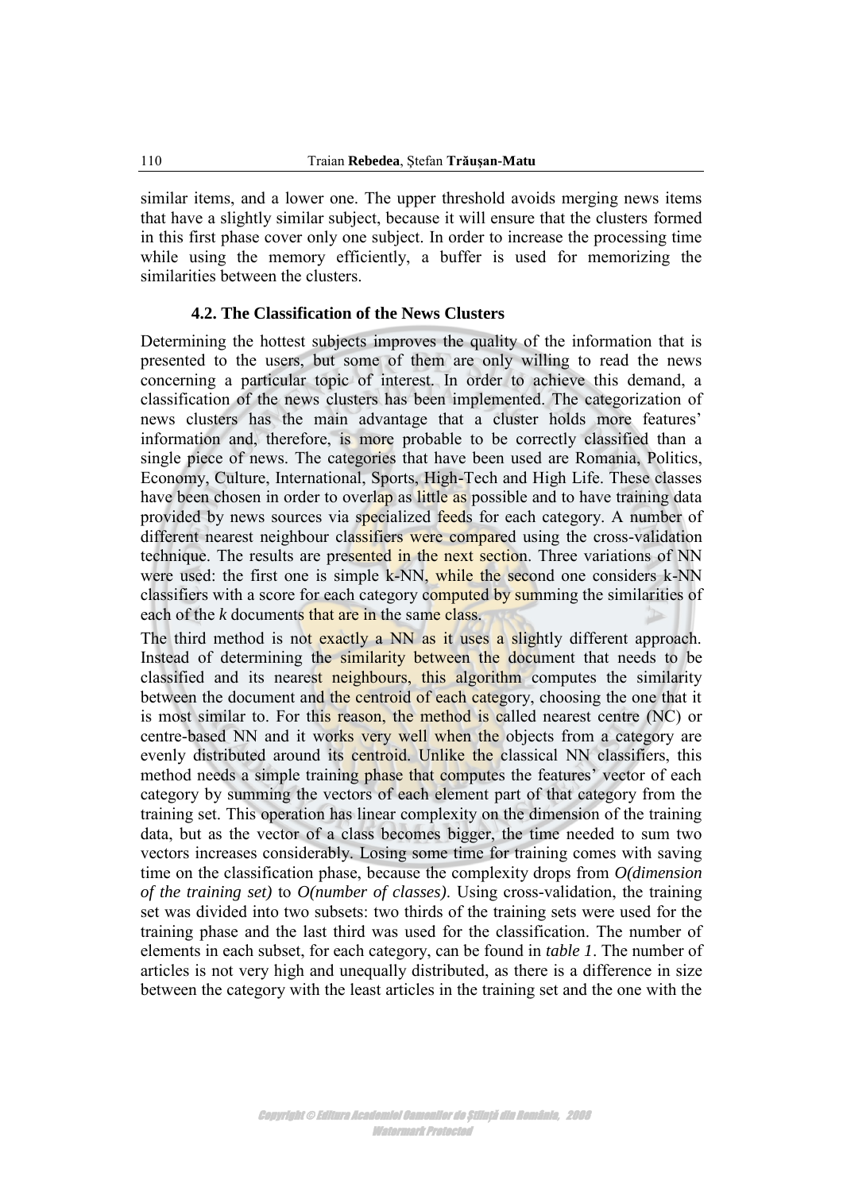similar items, and a lower one. The upper threshold avoids merging news items that have a slightly similar subject, because it will ensure that the clusters formed in this first phase cover only one subject. In order to increase the processing time while using the memory efficiently, a buffer is used for memorizing the similarities between the clusters.

### **4.2. The Classification of the News Clusters**

Determining the hottest subjects improves the quality of the information that is presented to the users, but some of them are only willing to read the news concerning a particular topic of interest. In order to achieve this demand, a classification of the news clusters has been implemented. The categorization of news clusters has the main advantage that a cluster holds more features' information and, therefore, is more probable to be correctly classified than a single piece of news. The categories that have been used are Romania, Politics, Economy, Culture, International, Sports, High-Tech and High Life. These classes have been chosen in order to overlap as little as possible and to have training data provided by news sources via specialized feeds for each category. A number of different nearest neighbour classifiers were compared using the cross-validation technique. The results are presented in the next section. Three variations of NN were used: the first one is simple k-NN, while the second one considers k-NN classifiers with a score for each category computed by summing the similarities of each of the *k* documents that are in the same class.

The third method is not exactly a NN as it uses a slightly different approach. Instead of determining the similarity between the document that needs to be classified and its nearest neighbours, this algorithm computes the similarity between the document and the centroid of each category, choosing the one that it is most similar to. For this reason, the method is called nearest centre (NC) or centre-based NN and it works very well when the objects from a category are evenly distributed around its centroid. Unlike the classical NN classifiers, this method needs a simple training phase that computes the features' vector of each category by summing the vectors of each element part of that category from the training set. This operation has linear complexity on the dimension of the training data, but as the vector of a class becomes bigger, the time needed to sum two vectors increases considerably. Losing some time for training comes with saving time on the classification phase, because the complexity drops from *O(dimension of the training set)* to *O(number of classes)*. Using cross-validation, the training set was divided into two subsets: two thirds of the training sets were used for the training phase and the last third was used for the classification. The number of elements in each subset, for each category, can be found in *table 1*. The number of articles is not very high and unequally distributed, as there is a difference in size between the category with the least articles in the training set and the one with the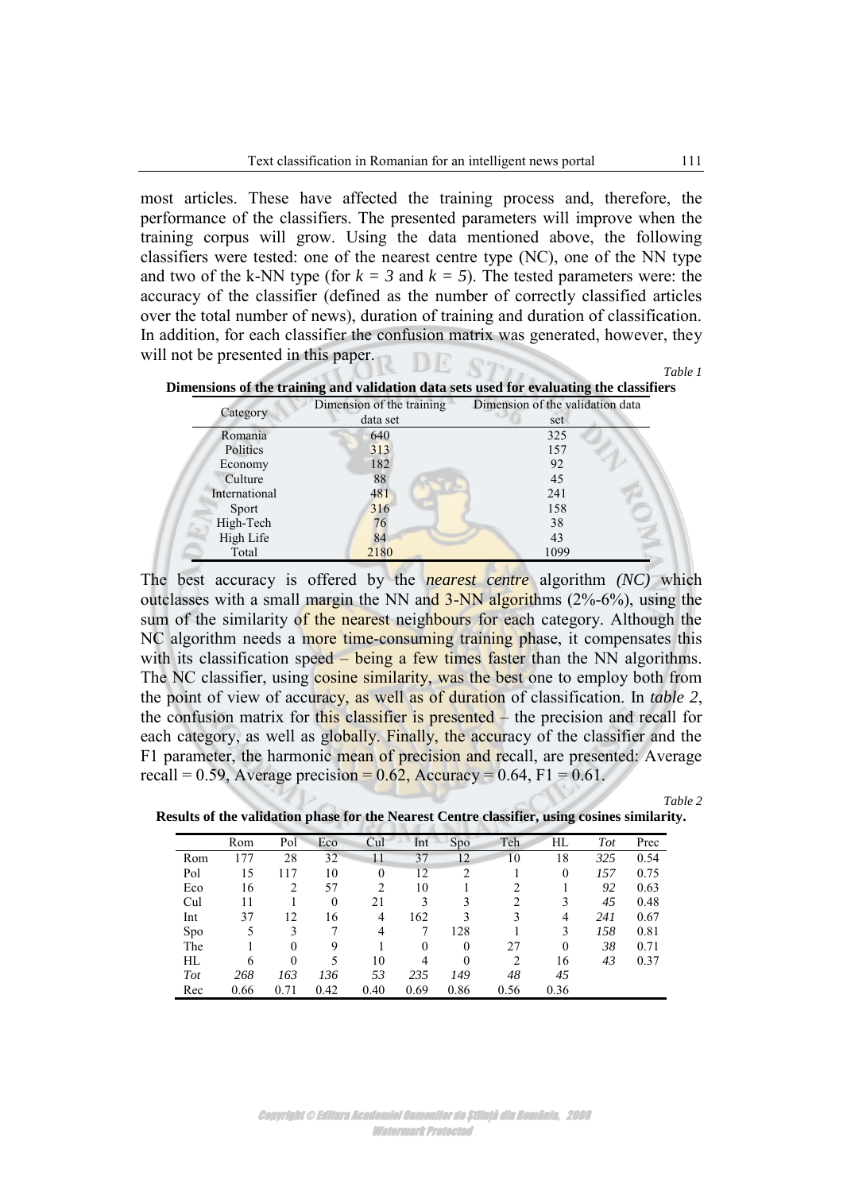most articles. These have affected the training process and, therefore, the performance of the classifiers. The presented parameters will improve when the training corpus will grow. Using the data mentioned above, the following classifiers were tested: one of the nearest centre type (NC), one of the NN type and two of the k-NN type (for  $k = 3$  and  $k = 5$ ). The tested parameters were: the accuracy of the classifier (defined as the number of correctly classified articles over the total number of news), duration of training and duration of classification. In addition, for each classifier the confusion matrix was generated, however, they will not be presented in this paper.

*Table 1* 



| Category      | Dimension of the training | Dimension of the validation data |  |  |  |
|---------------|---------------------------|----------------------------------|--|--|--|
|               | data set                  | set                              |  |  |  |
| Romania       | 640                       | 325                              |  |  |  |
| Politics      | 313                       | 157                              |  |  |  |
| Economy       | 182                       | 92                               |  |  |  |
| Culture       | 88                        | 45                               |  |  |  |
| International | 481                       | 241                              |  |  |  |
| Sport         | 316                       | 158                              |  |  |  |
| High-Tech     | 76                        | 38                               |  |  |  |
| High Life     | 84                        | 43                               |  |  |  |
| Total         | 2180                      | 1099                             |  |  |  |

The best accuracy is offered by the *nearest centre* algorithm *(NC)* which outclasses with a small margin the NN and 3-NN algorithms (2%-6%), using the sum of the similarity of the nearest neighbours for each category. Although the NC algorithm needs a more time-consuming training phase, it compensates this with its classification speed – being a few times faster than the NN algorithms. The NC classifier, using cosine similarity, was the best one to employ both from the point of view of accuracy, as well as of duration of classification. In *table 2*, the confusion matrix for this classifier is presented – the precision and recall for each category, as well as globally. Finally, the accuracy of the classifier and the F1 parameter, the harmonic mean of precision and recall, are presented: Average recall = 0.59, Average precision =  $0.62$ , Accuracy = 0.64, F1 = 0.61.

*Table 2* 

**Results of the validation phase for the Nearest Centre classifier, using cosines similarity.** 

|            | Rom  | Pol      | Eco              | Cul      | Int      | Spo            | Teh            | HL       | Tot | Prec |
|------------|------|----------|------------------|----------|----------|----------------|----------------|----------|-----|------|
| Rom        | 177  | 28       | 32               | 11       | 37       | 12             | 10             | 18       | 325 | 0.54 |
| Pol        | 15   | 117      | 10               | $\theta$ | 12       | 2              |                | $\theta$ | 157 | 0.75 |
| Eco        | 16   | 2        | 57               | 2        | 10       |                | $\overline{c}$ |          | 92  | 0.63 |
| Cul        | 11   |          | $\boldsymbol{0}$ | 21       | 3        | 3              | $\overline{c}$ |          | 45  | 0.48 |
| Int        | 37   | 12       | 16               | 4        | 162      | 3              | 3              | 4        | 241 | 0.67 |
| Spo        | 5    | 3        | 7                | 4        |          | 128            |                | 3        | 158 | 0.81 |
| The        |      | $\theta$ | 9                |          | $\theta$ | $\overline{0}$ | 27             | $\theta$ | 38  | 0.71 |
| HL         | 6    | $\theta$ | 5                | 10       | 4        | $\theta$       | $\overline{c}$ | 16       | 43  | 0.37 |
| <b>Tot</b> | 268  | 163      | 136              | 53       | 235      | 149            | 48             | 45       |     |      |
| Rec        | 0.66 | 0.71     | 0.42             | 0.40     | 0.69     | 0.86           | 0.56           | 0.36     |     |      |